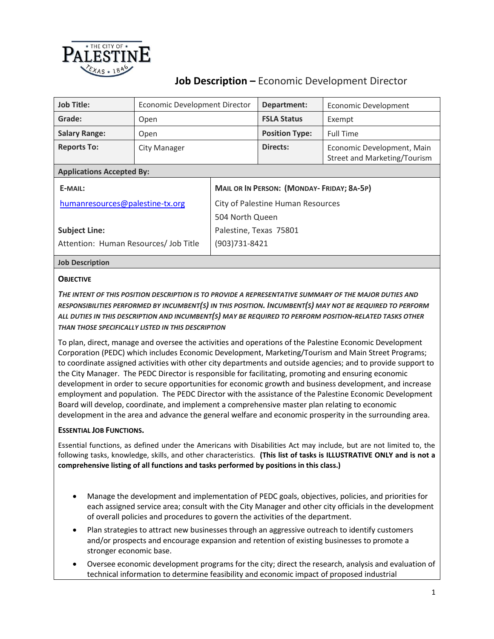

# **Job Description –** Economic Development Director

| <b>Job Title:</b>                     | Economic Development Director |                                                  | Department:           | Economic Development                                       |  |
|---------------------------------------|-------------------------------|--------------------------------------------------|-----------------------|------------------------------------------------------------|--|
| Grade:                                | Open                          |                                                  | <b>FSLA Status</b>    | Exempt                                                     |  |
| <b>Salary Range:</b>                  | Open                          |                                                  | <b>Position Type:</b> | <b>Full Time</b>                                           |  |
| <b>Reports To:</b>                    | City Manager                  |                                                  | Directs:              | Economic Development, Main<br>Street and Marketing/Tourism |  |
| <b>Applications Accepted By:</b>      |                               |                                                  |                       |                                                            |  |
| E-MAIL:                               |                               | <b>MAIL OR IN PERSON: (MONDAY-FRIDAY; 8A-5P)</b> |                       |                                                            |  |
| humanresources@palestine-tx.org       |                               | City of Palestine Human Resources                |                       |                                                            |  |
|                                       |                               | 504 North Queen                                  |                       |                                                            |  |
| <b>Subject Line:</b>                  |                               | Palestine, Texas 75801                           |                       |                                                            |  |
| Attention: Human Resources/ Job Title |                               | $(903)731 - 8421$                                |                       |                                                            |  |
|                                       |                               |                                                  |                       |                                                            |  |

# **Job Description**

### **OBJECTIVE**

*THE INTENT OF THIS POSITION DESCRIPTION IS TO PROVIDE A REPRESENTATIVE SUMMARY OF THE MAJOR DUTIES AND RESPONSIBILITIES PERFORMED BY INCUMBENT(S) IN THIS POSITION. INCUMBENT(S) MAY NOT BE REQUIRED TO PERFORM ALL DUTIES IN THIS DESCRIPTION AND INCUMBENT(S) MAY BE REQUIRED TO PERFORM POSITION-RELATED TASKS OTHER THAN THOSE SPECIFICALLY LISTED IN THIS DESCRIPTION*

To plan, direct, manage and oversee the activities and operations of the Palestine Economic Development Corporation (PEDC) which includes Economic Development, Marketing/Tourism and Main Street Programs; to coordinate assigned activities with other city departments and outside agencies; and to provide support to the City Manager. The PEDC Director is responsible for facilitating, promoting and ensuring economic development in order to secure opportunities for economic growth and business development, and increase employment and population. The PEDC Director with the assistance of the Palestine Economic Development Board will develop, coordinate, and implement a comprehensive master plan relating to economic development in the area and advance the general welfare and economic prosperity in the surrounding area.

### **ESSENTIAL JOB FUNCTIONS.**

Essential functions, as defined under the Americans with Disabilities Act may include, but are not limited to, the following tasks, knowledge, skills, and other characteristics. **(This list of tasks is ILLUSTRATIVE ONLY and is not a comprehensive listing of all functions and tasks performed by positions in this class.)**

- Manage the development and implementation of PEDC goals, objectives, policies, and priorities for each assigned service area; consult with the City Manager and other city officials in the development of overall policies and procedures to govern the activities of the department.
- Plan strategies to attract new businesses through an aggressive outreach to identify customers and/or prospects and encourage expansion and retention of existing businesses to promote a stronger economic base.
- Oversee economic development programs for the city; direct the research, analysis and evaluation of technical information to determine feasibility and economic impact of proposed industrial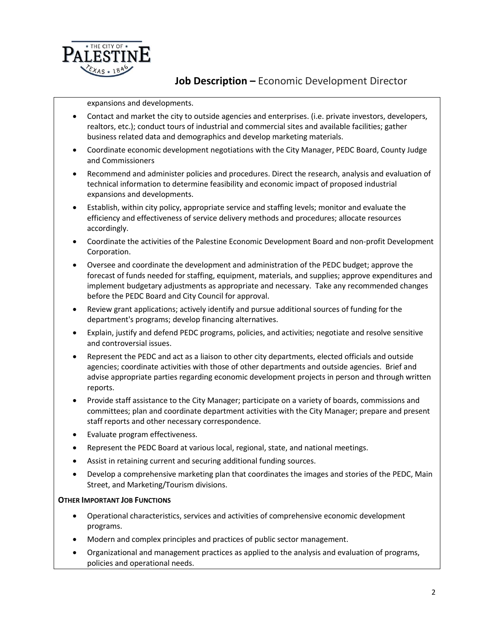

## **Job Description –** Economic Development Director

expansions and developments.

- Contact and market the city to outside agencies and enterprises. (i.e. private investors, developers, realtors, etc.); conduct tours of industrial and commercial sites and available facilities; gather business related data and demographics and develop marketing materials.
- Coordinate economic development negotiations with the City Manager, PEDC Board, County Judge and Commissioners
- Recommend and administer policies and procedures. Direct the research, analysis and evaluation of technical information to determine feasibility and economic impact of proposed industrial expansions and developments.
- Establish, within city policy, appropriate service and staffing levels; monitor and evaluate the efficiency and effectiveness of service delivery methods and procedures; allocate resources accordingly.
- Coordinate the activities of the Palestine Economic Development Board and non-profit Development Corporation.
- Oversee and coordinate the development and administration of the PEDC budget; approve the forecast of funds needed for staffing, equipment, materials, and supplies; approve expenditures and implement budgetary adjustments as appropriate and necessary. Take any recommended changes before the PEDC Board and City Council for approval.
- Review grant applications; actively identify and pursue additional sources of funding for the department's programs; develop financing alternatives.
- Explain, justify and defend PEDC programs, policies, and activities; negotiate and resolve sensitive and controversial issues.
- Represent the PEDC and act as a liaison to other city departments, elected officials and outside agencies; coordinate activities with those of other departments and outside agencies. Brief and advise appropriate parties regarding economic development projects in person and through written reports.
- Provide staff assistance to the City Manager; participate on a variety of boards, commissions and committees; plan and coordinate department activities with the City Manager; prepare and present staff reports and other necessary correspondence.
- Evaluate program effectiveness.
- Represent the PEDC Board at various local, regional, state, and national meetings.
- Assist in retaining current and securing additional funding sources.
- Develop a comprehensive marketing plan that coordinates the images and stories of the PEDC, Main Street, and Marketing/Tourism divisions.

#### **OTHER IMPORTANT JOB FUNCTIONS**

- Operational characteristics, services and activities of comprehensive economic development programs.
- Modern and complex principles and practices of public sector management.
- Organizational and management practices as applied to the analysis and evaluation of programs, policies and operational needs.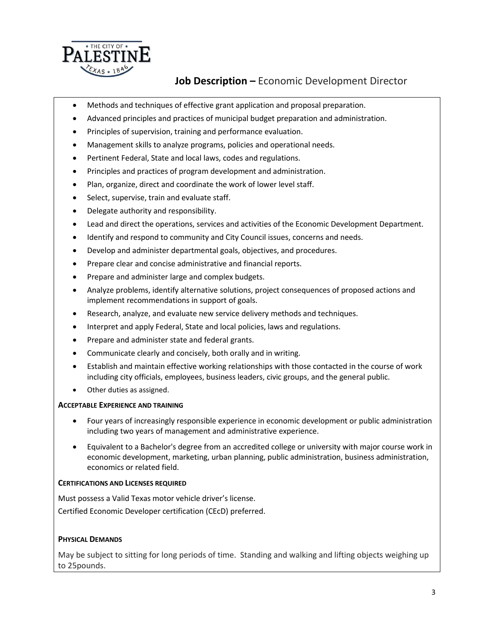

# **Job Description –** Economic Development Director

- Methods and techniques of effective grant application and proposal preparation.
- Advanced principles and practices of municipal budget preparation and administration.
- Principles of supervision, training and performance evaluation.
- Management skills to analyze programs, policies and operational needs.
- Pertinent Federal, State and local laws, codes and regulations.
- Principles and practices of program development and administration.
- Plan, organize, direct and coordinate the work of lower level staff.
- Select, supervise, train and evaluate staff.
- Delegate authority and responsibility.
- Lead and direct the operations, services and activities of the Economic Development Department.
- Identify and respond to community and City Council issues, concerns and needs.
- Develop and administer departmental goals, objectives, and procedures.
- Prepare clear and concise administrative and financial reports.
- Prepare and administer large and complex budgets.
- Analyze problems, identify alternative solutions, project consequences of proposed actions and implement recommendations in support of goals.
- Research, analyze, and evaluate new service delivery methods and techniques.
- Interpret and apply Federal, State and local policies, laws and regulations.
- Prepare and administer state and federal grants.
- Communicate clearly and concisely, both orally and in writing.
- Establish and maintain effective working relationships with those contacted in the course of work including city officials, employees, business leaders, civic groups, and the general public.
- Other duties as assigned.

### **ACCEPTABLE EXPERIENCE AND TRAINING**

- Four years of increasingly responsible experience in economic development or public administration including two years of management and administrative experience.
- Equivalent to a Bachelor's degree from an accredited college or university with major course work in economic development, marketing, urban planning, public administration, business administration, economics or related field.

### **CERTIFICATIONS AND LICENSES REQUIRED**

Must possess a Valid Texas motor vehicle driver's license. Certified Economic Developer certification (CEcD) preferred.

### **PHYSICAL DEMANDS**

May be subject to sitting for long periods of time. Standing and walking and lifting objects weighing up to 25pounds.